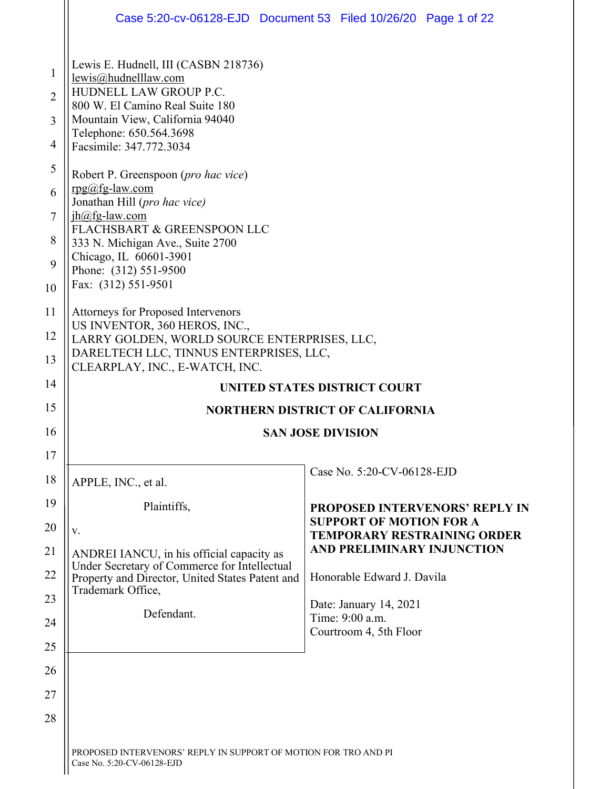|                                            | Case 5:20-cv-06128-EJD  Document 53  Filed 10/26/20  Page 1 of 22                                                                                                                                                  |                                           |                                       |
|--------------------------------------------|--------------------------------------------------------------------------------------------------------------------------------------------------------------------------------------------------------------------|-------------------------------------------|---------------------------------------|
| 1<br>$\overline{2}$<br>3<br>$\overline{4}$ | Lewis E. Hudnell, III (CASBN 218736)<br>lewis@hudnelllaw.com<br>HUDNELL LAW GROUP P.C.<br>800 W. El Camino Real Suite 180<br>Mountain View, California 94040<br>Telephone: 650.564.3698<br>Facsimile: 347.772.3034 |                                           |                                       |
| 5<br>6<br>7                                | Robert P. Greenspoon (pro hac vice)<br>$rpg@fg-law.com$<br>Jonathan Hill (pro hac vice)<br>$ih@fg$ -law.com<br>FLACHSBART & GREENSPOON LLC                                                                         |                                           |                                       |
| 8<br>9<br>10                               | 333 N. Michigan Ave., Suite 2700<br>Chicago, IL 60601-3901<br>Phone: (312) 551-9500<br>Fax: (312) 551-9501                                                                                                         |                                           |                                       |
| 11<br>12                                   | Attorneys for Proposed Intervenors<br>US INVENTOR, 360 HEROS, INC.,                                                                                                                                                |                                           |                                       |
| 13                                         | LARRY GOLDEN, WORLD SOURCE ENTERPRISES, LLC,<br>DARELTECH LLC, TINNUS ENTERPRISES, LLC,<br>CLEARPLAY, INC., E-WATCH, INC.                                                                                          |                                           |                                       |
| 14                                         |                                                                                                                                                                                                                    | UNITED STATES DISTRICT COURT              |                                       |
| 15                                         | <b>NORTHERN DISTRICT OF CALIFORNIA</b>                                                                                                                                                                             |                                           |                                       |
| 16                                         |                                                                                                                                                                                                                    | <b>SAN JOSE DIVISION</b>                  |                                       |
| 17                                         |                                                                                                                                                                                                                    |                                           |                                       |
| 18                                         | APPLE, INC., et al.                                                                                                                                                                                                | Case No. 5:20-CV-06128-EJD                |                                       |
| 19                                         | Plaintiffs,                                                                                                                                                                                                        |                                           |                                       |
| 20                                         |                                                                                                                                                                                                                    |                                           | <b>PROPOSED INTERVENORS' REPLY IN</b> |
|                                            | V.                                                                                                                                                                                                                 | <b>SUPPORT OF MOTION FOR A</b>            | <b>TEMPORARY RESTRAINING ORDER</b>    |
| 21                                         | ANDREI IANCU, in his official capacity as                                                                                                                                                                          | AND PRELIMINARY INJUNCTION                |                                       |
| 22                                         | Under Secretary of Commerce for Intellectual<br>Property and Director, United States Patent and                                                                                                                    | Honorable Edward J. Davila                |                                       |
| 23                                         | Trademark Office,                                                                                                                                                                                                  | Date: January 14, 2021                    |                                       |
| 24                                         | Defendant.                                                                                                                                                                                                         | Time: 9:00 a.m.<br>Courtroom 4, 5th Floor |                                       |
| 25                                         |                                                                                                                                                                                                                    |                                           |                                       |
| 26                                         |                                                                                                                                                                                                                    |                                           |                                       |
| 27                                         |                                                                                                                                                                                                                    |                                           |                                       |
| 28                                         |                                                                                                                                                                                                                    |                                           |                                       |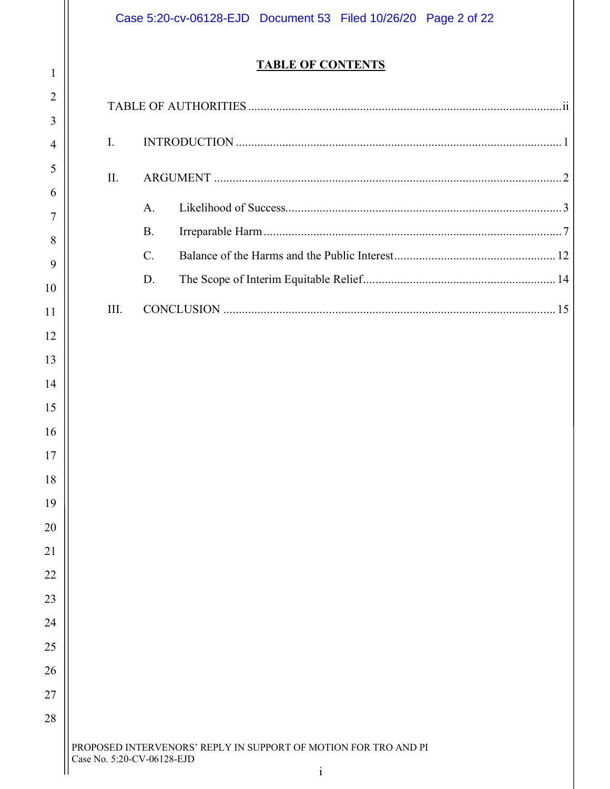|                |                | Case 5:20-cv-06128-EJD  Document 53  Filed 10/26/20  Page 2 of 22                             |  |
|----------------|----------------|-----------------------------------------------------------------------------------------------|--|
| $\mathbf{1}$   |                | <b>TABLE OF CONTENTS</b>                                                                      |  |
| $\overline{2}$ |                |                                                                                               |  |
| 3              |                |                                                                                               |  |
| 4              | $\mathbf{I}$ . |                                                                                               |  |
| 5              | II.            |                                                                                               |  |
| 6              |                |                                                                                               |  |
| $\overline{7}$ |                | $A_{\cdot}$                                                                                   |  |
| 8              |                | <b>B.</b>                                                                                     |  |
| 9              |                | $\mathcal{C}$ .                                                                               |  |
| 10             |                | D.                                                                                            |  |
| 11             | III.           |                                                                                               |  |
| 12             |                |                                                                                               |  |
| 13             |                |                                                                                               |  |
| 14             |                |                                                                                               |  |
| 15             |                |                                                                                               |  |
| 16             |                |                                                                                               |  |
| 17             |                |                                                                                               |  |
| 18             |                |                                                                                               |  |
| 19             |                |                                                                                               |  |
| 20             |                |                                                                                               |  |
| 21             |                |                                                                                               |  |
| 22             |                |                                                                                               |  |
| 23             |                |                                                                                               |  |
| 24             |                |                                                                                               |  |
| 25             |                |                                                                                               |  |
| 26             |                |                                                                                               |  |
| 27             |                |                                                                                               |  |
| 28             |                |                                                                                               |  |
|                |                | PROPOSED INTERVENORS' REPLY IN SUPPORT OF MOTION FOR TRO AND PI<br>Case No. 5:20-CV-06128-EJD |  |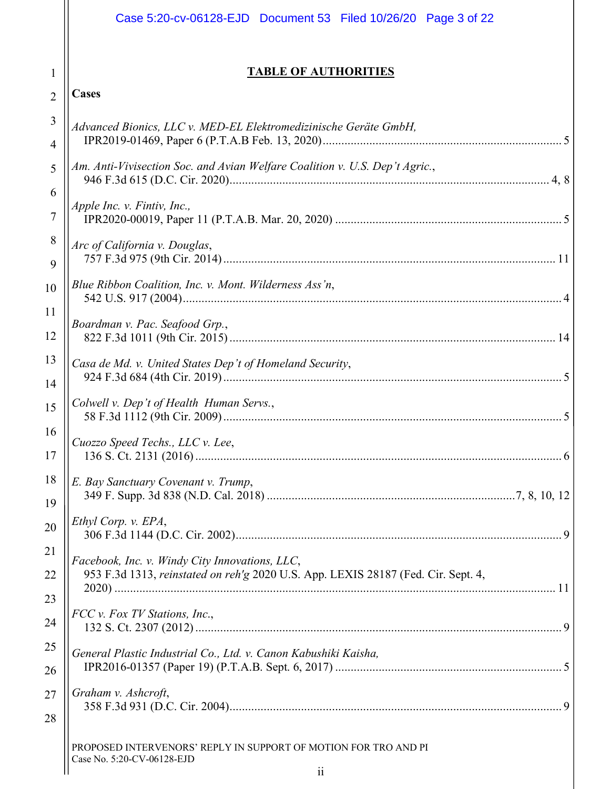|                | Case 5:20-cv-06128-EJD  Document 53  Filed 10/26/20  Page 3 of 22                                                                   |
|----------------|-------------------------------------------------------------------------------------------------------------------------------------|
| 1              | <b>TABLE OF AUTHORITIES</b>                                                                                                         |
| $\overline{2}$ | Cases                                                                                                                               |
| 3              | Advanced Bionics, LLC v. MED-EL Elektromedizinische Geräte GmbH,                                                                    |
| 4              |                                                                                                                                     |
| 5<br>6         | Am. Anti-Vivisection Soc. and Avian Welfare Coalition v. U.S. Dep't Agric.,                                                         |
| 7              | Apple Inc. v. Fintiv, Inc.,                                                                                                         |
| 8<br>9         | Arc of California v. Douglas,                                                                                                       |
| 10             | Blue Ribbon Coalition, Inc. v. Mont. Wilderness Ass'n,                                                                              |
| 11<br>12       | Boardman v. Pac. Seafood Grp.,                                                                                                      |
| 13<br>14       | Casa de Md. v. United States Dep't of Homeland Security,                                                                            |
| 15             | Colwell v. Dep't of Health Human Servs.,                                                                                            |
| 16<br>17       | Cuozzo Speed Techs., LLC v. Lee.                                                                                                    |
| 18<br>19       | E. Bay Sanctuary Covenant v. Trump,                                                                                                 |
| 20             | Ethyl Corp. v. EPA,                                                                                                                 |
| 21<br>22       | Facebook, Inc. v. Windy City Innovations, LLC,<br>953 F.3d 1313, reinstated on reh'g 2020 U.S. App. LEXIS 28187 (Fed. Cir. Sept. 4, |
| 23<br>24       | FCC v. Fox TV Stations, Inc.,                                                                                                       |
| 25<br>26       | General Plastic Industrial Co., Ltd. v. Canon Kabushiki Kaisha,                                                                     |
| 27<br>28       | Graham v. Ashcroft,                                                                                                                 |
|                | PROPOSED INTERVENORS' REPLY IN SUPPORT OF MOTION FOR TRO AND PI<br>Case No. 5:20-CV-06128-EJD<br>$\overline{\mathbf{i}}$            |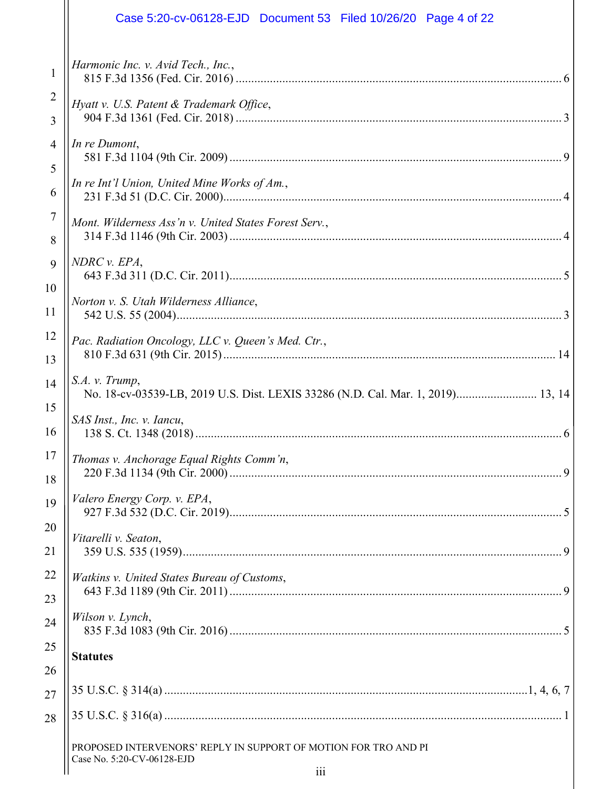# *Harmonic Inc. v. Avid Tech., Inc.*, 815 F.3d 1356 (Fed. Cir. 2016) ......................................................................................................... 6 *Hyatt v. U.S. Patent & Trademark Office*, 904 F.3d 1361 (Fed. Cir. 2018) ......................................................................................................... 3 *In re Dumont*, 581 F.3d 1104 (9th Cir. 2009)........................................................................................................... 9 *In re Int'l Union, United Mine Works of Am.*, 231 F.3d 51 (D.C. Cir. 2000)............................................................................................................. 4 *Mont. Wilderness Ass'n v. United States Forest Serv.*, 314 F.3d 1146 (9th Cir. 2003)........................................................................................................... 4 *NDRC v. EPA*, 643 F.3d 311 (D.C. Cir. 2011)........................................................................................................... 5 *Norton v. S. Utah Wilderness Alliance*, 542 U.S. 55 (2004)............................................................................................................................ 3 *Pac. Radiation Oncology, LLC v. Queen's Med. Ctr.*, 810 F.3d 631 (9th Cir. 2015)........................................................................................................... 14 *S.A. v. Trump*, No. 18-cv-03539-LB, 2019 U.S. Dist. LEXIS 33286 (N.D. Cal. Mar. 1, 2019).......................... 13, 14 *SAS Inst., Inc. v. Iancu*, 138 S. Ct. 1348 (2018)...................................................................................................................... 6 *Thomas v. Anchorage Equal Rights Comm'n*, 220 F.3d 1134 (9th Cir. 2000)........................................................................................................... 9 *Valero Energy Corp. v. EPA*, 927 F.3d 532 (D.C. Cir. 2019)........................................................................................................... 5 *Vitarelli v. Seaton*, 359 U.S. 535 (1959).......................................................................................................................... 9 *Watkins v. United States Bureau of Customs*, 643 F.3d 1189 (9th Cir. 2011)........................................................................................................... 9 *Wilson v. Lynch*, 835 F.3d 1083 (9th Cir. 2016)........................................................................................................... 5 **Statutes** 35 U.S.C. § 314(a) .....................................................................................................................1, 4, 6, 7 Case 5:20-cv-06128-EJD Document 53 Filed 10/26/20 Page 4 of 22

1

2

3

4

5

6

7

8

9

10

11

12

13

14

15

16

17

18

19

20

21

22

23

24

25

26

27

28

PROPOSED INTERVENORS' REPLY IN SUPPORT OF MOTION FOR TRO AND PI Case No. 5:20-CV-06128-EJD

35 U.S.C. § 316(a) ................................................................................................................................ 1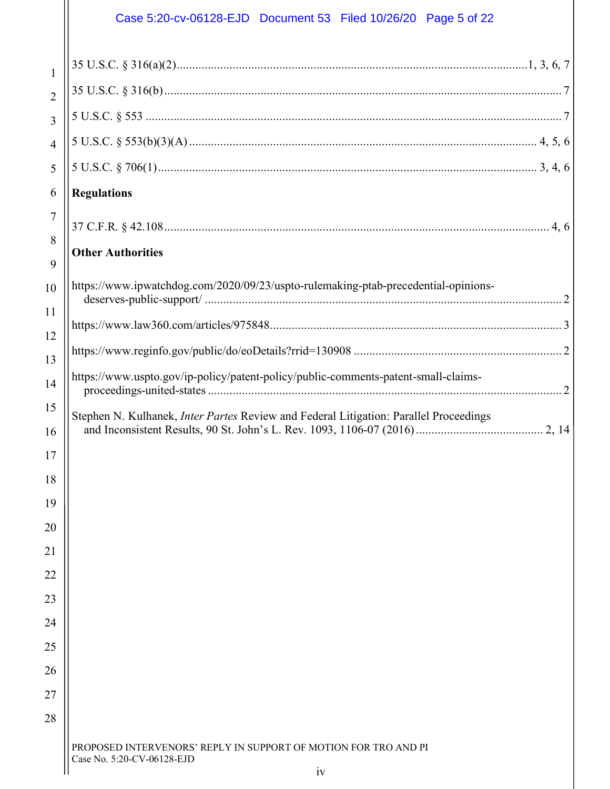## Case 5:20-cv-06128-EJD Document 53 Filed 10/26/20 Page 5 of 22

Ш

| $\mathbf{1}$   |                                                                                               |
|----------------|-----------------------------------------------------------------------------------------------|
| $\overline{2}$ |                                                                                               |
| 3              |                                                                                               |
| $\overline{4}$ |                                                                                               |
| 5              |                                                                                               |
| 6              | <b>Regulations</b>                                                                            |
| 7              |                                                                                               |
| 8              |                                                                                               |
| 9              | <b>Other Authorities</b>                                                                      |
| 10             | https://www.ipwatchdog.com/2020/09/23/uspto-rulemaking-ptab-precedential-opinions-            |
| 11             |                                                                                               |
| 12             |                                                                                               |
| 13             |                                                                                               |
| 14             | https://www.uspto.gov/ip-policy/patent-policy/public-comments-patent-small-claims-            |
| 15             |                                                                                               |
| 16             | Stephen N. Kulhanek, <i>Inter Partes</i> Review and Federal Litigation: Parallel Proceedings  |
| 17             |                                                                                               |
| 18             |                                                                                               |
| 19             |                                                                                               |
| 20             |                                                                                               |
| 21             |                                                                                               |
| 22             |                                                                                               |
| 23             |                                                                                               |
| 24             |                                                                                               |
| 25             |                                                                                               |
| 26             |                                                                                               |
| 27             |                                                                                               |
| 28             |                                                                                               |
|                | PROPOSED INTERVENORS' REPLY IN SUPPORT OF MOTION FOR TRO AND PI<br>Case No. 5:20-CV-06128-EJD |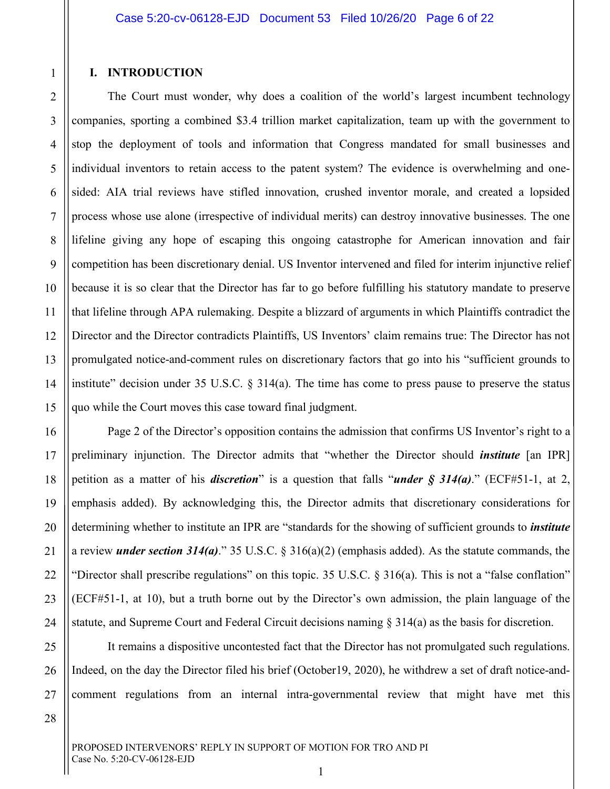#### **I. INTRODUCTION**

1

2

3

4

5

6

7

8

9

10

11

12

13

14

15

16

17

18

19

20

21

22

23

24

25

26

27

The Court must wonder, why does a coalition of the world's largest incumbent technology companies, sporting a combined \$3.4 trillion market capitalization, team up with the government to stop the deployment of tools and information that Congress mandated for small businesses and individual inventors to retain access to the patent system? The evidence is overwhelming and onesided: AIA trial reviews have stifled innovation, crushed inventor morale, and created a lopsided process whose use alone (irrespective of individual merits) can destroy innovative businesses. The one lifeline giving any hope of escaping this ongoing catastrophe for American innovation and fair competition has been discretionary denial. US Inventor intervened and filed for interim injunctive relief because it is so clear that the Director has far to go before fulfilling his statutory mandate to preserve that lifeline through APA rulemaking. Despite a blizzard of arguments in which Plaintiffs contradict the Director and the Director contradicts Plaintiffs, US Inventors' claim remains true: The Director has not promulgated notice-and-comment rules on discretionary factors that go into his "sufficient grounds to institute" decision under 35 U.S.C.  $\S$  314(a). The time has come to press pause to preserve the status quo while the Court moves this case toward final judgment.

Page 2 of the Director's opposition contains the admission that confirms US Inventor's right to a preliminary injunction. The Director admits that "whether the Director should *institute* [an IPR] petition as a matter of his *discretion*" is a question that falls "*under § 314(a)*." (ECF#51-1, at 2, emphasis added). By acknowledging this, the Director admits that discretionary considerations for determining whether to institute an IPR are "standards for the showing of sufficient grounds to *institute* a review *under section 314(a)*." 35 U.S.C. § 316(a)(2) (emphasis added). As the statute commands, the "Director shall prescribe regulations" on this topic. 35 U.S.C. § 316(a). This is not a "false conflation" (ECF#51-1, at 10), but a truth borne out by the Director's own admission, the plain language of the statute, and Supreme Court and Federal Circuit decisions naming § 314(a) as the basis for discretion.

It remains a dispositive uncontested fact that the Director has not promulgated such regulations. Indeed, on the day the Director filed his brief (October19, 2020), he withdrew a set of draft notice-andcomment regulations from an internal intra-governmental review that might have met this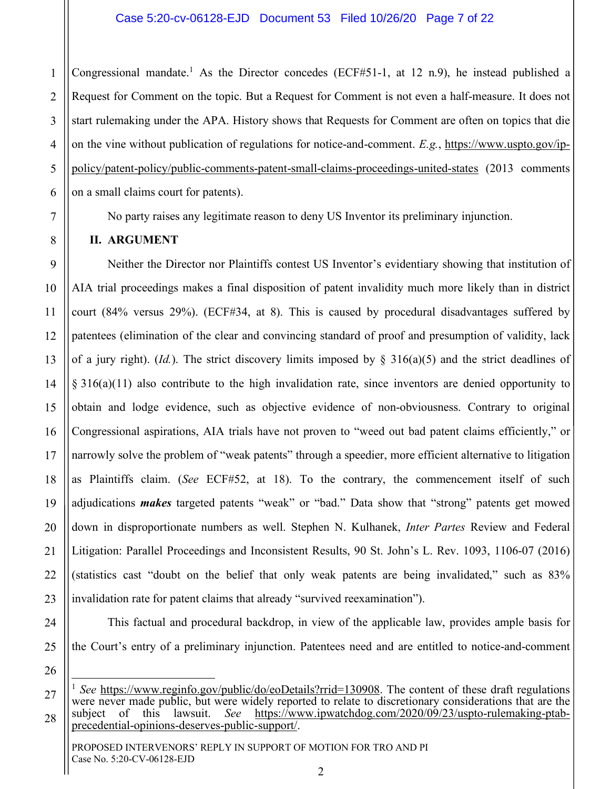1 2 3 4 5 6 Congressional mandate.<sup>1</sup> As the Director concedes (ECF#51-1, at 12 n.9), he instead published a Request for Comment on the topic. But a Request for Comment is not even a half-measure. It does not start rulemaking under the APA. History shows that Requests for Comment are often on topics that die on the vine without publication of regulations for notice-and-comment. *E.g.*, https://www.uspto.gov/ippolicy/patent-policy/public-comments-patent-small-claims-proceedings-united-states (2013 comments on a small claims court for patents).

No party raises any legitimate reason to deny US Inventor its preliminary injunction.

### **II. ARGUMENT**

7

8

9

10

11

12

13

14

15

16

17

18

19

20

21

22

Neither the Director nor Plaintiffs contest US Inventor's evidentiary showing that institution of AIA trial proceedings makes a final disposition of patent invalidity much more likely than in district court (84% versus 29%). (ECF#34, at 8). This is caused by procedural disadvantages suffered by patentees (elimination of the clear and convincing standard of proof and presumption of validity, lack of a jury right). (*Id.*). The strict discovery limits imposed by  $\S$  316(a)(5) and the strict deadlines of § 316(a)(11) also contribute to the high invalidation rate, since inventors are denied opportunity to obtain and lodge evidence, such as objective evidence of non-obviousness. Contrary to original Congressional aspirations, AIA trials have not proven to "weed out bad patent claims efficiently," or narrowly solve the problem of "weak patents" through a speedier, more efficient alternative to litigation as Plaintiffs claim. (*See* ECF#52, at 18). To the contrary, the commencement itself of such adjudications *makes* targeted patents "weak" or "bad." Data show that "strong" patents get mowed down in disproportionate numbers as well. Stephen N. Kulhanek, *Inter Partes* Review and Federal Litigation: Parallel Proceedings and Inconsistent Results, 90 St. John's L. Rev. 1093, 1106-07 (2016) (statistics cast "doubt on the belief that only weak patents are being invalidated," such as 83% invalidation rate for patent claims that already "survived reexamination").

23 24

This factual and procedural backdrop, in view of the applicable law, provides ample basis for the Court's entry of a preliminary injunction. Patentees need and are entitled to notice-and-comment

26

27

28

<sup>&</sup>lt;sup>1</sup> *See* https://www.reginfo.gov/public/do/eoDetails?rrid=130908. The content of these draft regulations were never made public, but were widely reported to relate to discretionary considerations that are the subject of this lawsuit. See https://www.ipwatchdog.com/2020/09/23/uspto-rulemaking-ptab-See https://www.ipwatchdog.com/2020/09/23/uspto-rulemaking-ptabprecedential-opinions-deserves-public-support/.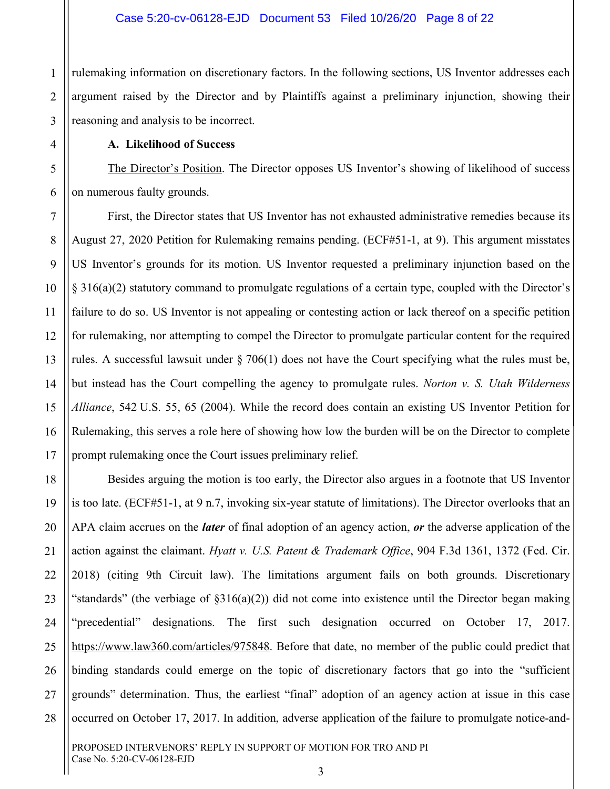1 rulemaking information on discretionary factors. In the following sections, US Inventor addresses each argument raised by the Director and by Plaintiffs against a preliminary injunction, showing their reasoning and analysis to be incorrect.

#### **A. Likelihood of Success**

The Director's Position. The Director opposes US Inventor's showing of likelihood of success on numerous faulty grounds.

First, the Director states that US Inventor has not exhausted administrative remedies because its August 27, 2020 Petition for Rulemaking remains pending. (ECF#51-1, at 9). This argument misstates US Inventor's grounds for its motion. US Inventor requested a preliminary injunction based on the § 316(a)(2) statutory command to promulgate regulations of a certain type, coupled with the Director's failure to do so. US Inventor is not appealing or contesting action or lack thereof on a specific petition for rulemaking, nor attempting to compel the Director to promulgate particular content for the required rules. A successful lawsuit under § 706(1) does not have the Court specifying what the rules must be, but instead has the Court compelling the agency to promulgate rules. *Norton v. S. Utah Wilderness Alliance*, 542 U.S. 55, 65 (2004). While the record does contain an existing US Inventor Petition for Rulemaking, this serves a role here of showing how low the burden will be on the Director to complete prompt rulemaking once the Court issues preliminary relief.

Besides arguing the motion is too early, the Director also argues in a footnote that US Inventor is too late. (ECF#51-1, at 9 n.7, invoking six-year statute of limitations). The Director overlooks that an APA claim accrues on the *later* of final adoption of an agency action, *or* the adverse application of the action against the claimant. *Hyatt v. U.S. Patent & Trademark Office*, 904 F.3d 1361, 1372 (Fed. Cir. 2018) (citing 9th Circuit law). The limitations argument fails on both grounds. Discretionary "standards" (the verbiage of  $\S316(a)(2)$ ) did not come into existence until the Director began making "precedential" designations. The first such designation occurred on October 17, 2017. https://www.law360.com/articles/975848. Before that date, no member of the public could predict that binding standards could emerge on the topic of discretionary factors that go into the "sufficient grounds" determination. Thus, the earliest "final" adoption of an agency action at issue in this case occurred on October 17, 2017. In addition, adverse application of the failure to promulgate notice-and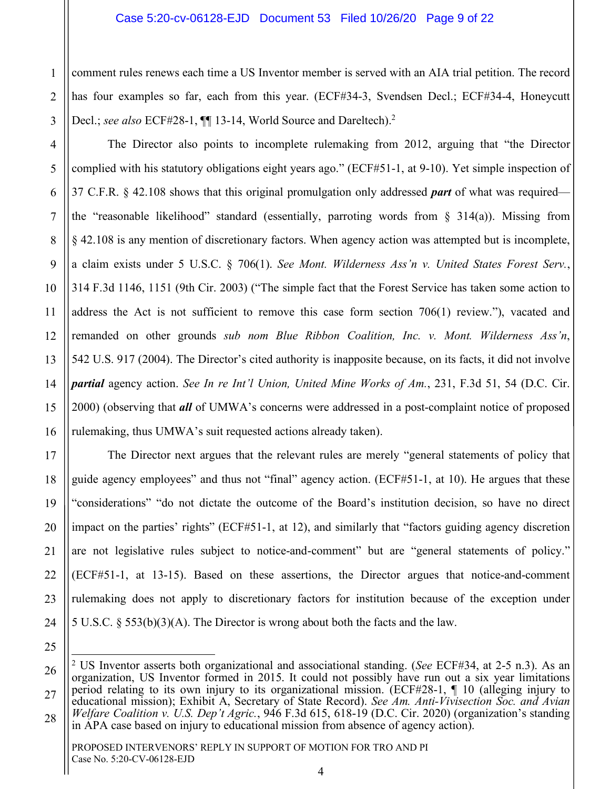1 comment rules renews each time a US Inventor member is served with an AIA trial petition. The record has four examples so far, each from this year. (ECF#34-3, Svendsen Decl.; ECF#34-4, Honeycutt Decl.; *see also* ECF#28-1,  $\P$ [13-14, World Source and Dareltech).<sup>2</sup>

The Director also points to incomplete rulemaking from 2012, arguing that "the Director complied with his statutory obligations eight years ago." (ECF#51-1, at 9-10). Yet simple inspection of 37 C.F.R. § 42.108 shows that this original promulgation only addressed *part* of what was required the "reasonable likelihood" standard (essentially, parroting words from  $\S$  314(a)). Missing from § 42.108 is any mention of discretionary factors. When agency action was attempted but is incomplete, a claim exists under 5 U.S.C. § 706(1). *See Mont. Wilderness Ass'n v. United States Forest Serv.*, 314 F.3d 1146, 1151 (9th Cir. 2003) ("The simple fact that the Forest Service has taken some action to address the Act is not sufficient to remove this case form section 706(1) review."), vacated and remanded on other grounds *sub nom Blue Ribbon Coalition, Inc. v. Mont. Wilderness Ass'n*, 542 U.S. 917 (2004). The Director's cited authority is inapposite because, on its facts, it did not involve *partial* agency action. *See In re Int'l Union, United Mine Works of Am.*, 231, F.3d 51, 54 (D.C. Cir. 2000) (observing that *all* of UMWA's concerns were addressed in a post-complaint notice of proposed rulemaking, thus UMWA's suit requested actions already taken).

The Director next argues that the relevant rules are merely "general statements of policy that guide agency employees" and thus not "final" agency action. (ECF#51-1, at 10). He argues that these "considerations" "do not dictate the outcome of the Board's institution decision, so have no direct impact on the parties' rights" (ECF#51-1, at 12), and similarly that "factors guiding agency discretion are not legislative rules subject to notice-and-comment" but are "general statements of policy." (ECF#51-1, at 13-15). Based on these assertions, the Director argues that notice-and-comment rulemaking does not apply to discretionary factors for institution because of the exception under 5 U.S.C. § 553(b)(3)(A). The Director is wrong about both the facts and the law.

 <sup>2</sup> US Inventor asserts both organizational and associational standing. (*See* ECF#34, at 2-5 n.3). As an organization, US Inventor formed in 2015. It could not possibly have run out a six year limitations period relating to its own injury to its organizational mission. (ECF#28-1, ¶ 10 (alleging injury to educational mission); Exhibit A, Secretary of State Record). *See Am. Anti-Vivisection Soc. and Avian Welfare Coalition v. U.S. Dep't Agric.*, 946 F.3d 615, 618-19 (D.C. Cir. 2020) (organization's standing in APA case based on injury to educational mission from absence of agency action).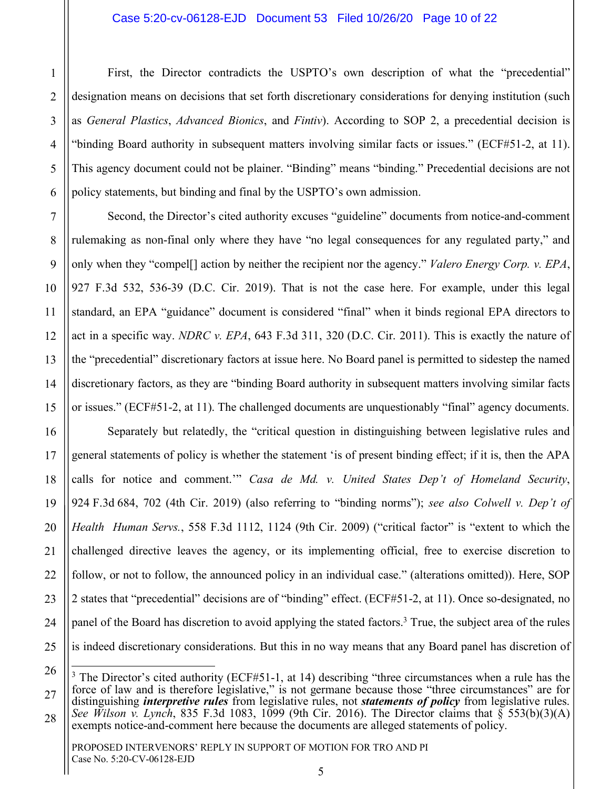#### Case 5:20-cv-06128-EJD Document 53 Filed 10/26/20 Page 10 of 22

First, the Director contradicts the USPTO's own description of what the "precedential" designation means on decisions that set forth discretionary considerations for denying institution (such as *General Plastics*, *Advanced Bionics*, and *Fintiv*). According to SOP 2, a precedential decision is "binding Board authority in subsequent matters involving similar facts or issues." (ECF#51-2, at 11). This agency document could not be plainer. "Binding" means "binding." Precedential decisions are not policy statements, but binding and final by the USPTO's own admission.

Second, the Director's cited authority excuses "guideline" documents from notice-and-comment rulemaking as non-final only where they have "no legal consequences for any regulated party," and only when they "compel[] action by neither the recipient nor the agency." *Valero Energy Corp. v. EPA*, 927 F.3d 532, 536-39 (D.C. Cir. 2019). That is not the case here. For example, under this legal standard, an EPA "guidance" document is considered "final" when it binds regional EPA directors to act in a specific way. *NDRC v. EPA*, 643 F.3d 311, 320 (D.C. Cir. 2011). This is exactly the nature of the "precedential" discretionary factors at issue here. No Board panel is permitted to sidestep the named discretionary factors, as they are "binding Board authority in subsequent matters involving similar facts or issues." (ECF#51-2, at 11). The challenged documents are unquestionably "final" agency documents.

Separately but relatedly, the "critical question in distinguishing between legislative rules and general statements of policy is whether the statement 'is of present binding effect; if it is, then the APA calls for notice and comment.'" *Casa de Md. v. United States Dep't of Homeland Security*, 924 F.3d 684, 702 (4th Cir. 2019) (also referring to "binding norms"); *see also Colwell v. Dep't of Health Human Servs.*, 558 F.3d 1112, 1124 (9th Cir. 2009) ("critical factor" is "extent to which the challenged directive leaves the agency, or its implementing official, free to exercise discretion to follow, or not to follow, the announced policy in an individual case." (alterations omitted)). Here, SOP 2 states that "precedential" decisions are of "binding" effect. (ECF#51-2, at 11). Once so-designated, no panel of the Board has discretion to avoid applying the stated factors.3 True, the subject area of the rules is indeed discretionary considerations. But this in no way means that any Board panel has discretion of

28

1

2

3

4

5

6

7

8

9

10

11

12

13

14

15

16

17

18

19

20

21

22

23

24

<sup>3</sup> The Director's cited authority (ECF#51-1, at 14) describing "three circumstances when a rule has the force of law and is therefore legislative," is not germane because those "three circumstances" are for distinguishing *interpretive rules* from legislative rules, not *statements of policy* from legislative rules. *See Wilson v. Lynch*, 835 F.3d 1083, 1099 (9th Cir. 2016). The Director claims that  $\tilde{\S}$  553(b)(3)(A) exempts notice-and-comment here because the documents are alleged statements of policy.

PROPOSED INTERVENORS' REPLY IN SUPPORT OF MOTION FOR TRO AND PI Case No. 5:20-CV-06128-EJD

<sup>25</sup> 26 27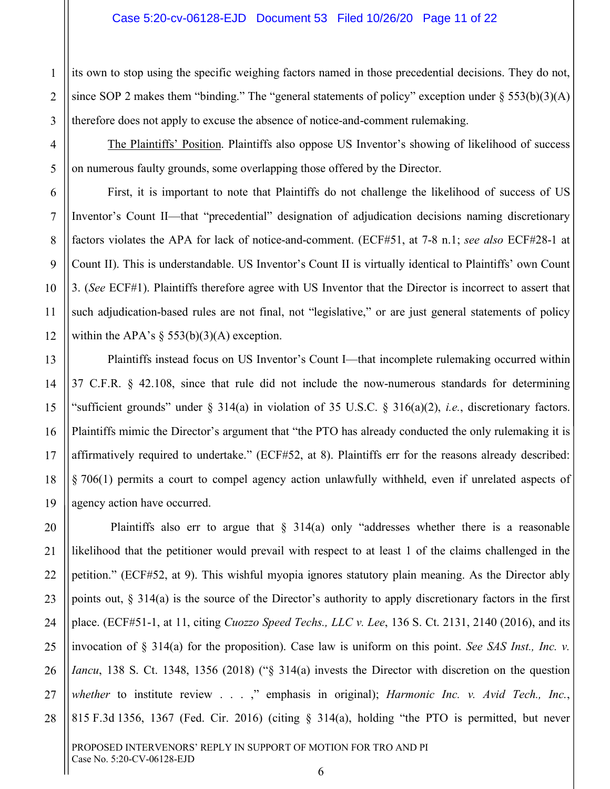its own to stop using the specific weighing factors named in those precedential decisions. They do not, since SOP 2 makes them "binding." The "general statements of policy" exception under  $\S 553(b)(3)(A)$ therefore does not apply to excuse the absence of notice-and-comment rulemaking.

The Plaintiffs' Position. Plaintiffs also oppose US Inventor's showing of likelihood of success on numerous faulty grounds, some overlapping those offered by the Director.

First, it is important to note that Plaintiffs do not challenge the likelihood of success of US Inventor's Count II—that "precedential" designation of adjudication decisions naming discretionary factors violates the APA for lack of notice-and-comment. (ECF#51, at 7-8 n.1; *see also* ECF#28-1 at Count II). This is understandable. US Inventor's Count II is virtually identical to Plaintiffs' own Count 3. (*See* ECF#1). Plaintiffs therefore agree with US Inventor that the Director is incorrect to assert that such adjudication-based rules are not final, not "legislative," or are just general statements of policy within the APA's  $\S$  553(b)(3)(A) exception.

Plaintiffs instead focus on US Inventor's Count I—that incomplete rulemaking occurred within 37 C.F.R. § 42.108, since that rule did not include the now-numerous standards for determining "sufficient grounds" under § 314(a) in violation of 35 U.S.C. § 316(a)(2), *i.e.*, discretionary factors. Plaintiffs mimic the Director's argument that "the PTO has already conducted the only rulemaking it is affirmatively required to undertake." (ECF#52, at 8). Plaintiffs err for the reasons already described: § 706(1) permits a court to compel agency action unlawfully withheld, even if unrelated aspects of agency action have occurred.

Plaintiffs also err to argue that  $\S$  314(a) only "addresses whether there is a reasonable likelihood that the petitioner would prevail with respect to at least 1 of the claims challenged in the petition." (ECF#52, at 9). This wishful myopia ignores statutory plain meaning. As the Director ably points out, § 314(a) is the source of the Director's authority to apply discretionary factors in the first place. (ECF#51-1, at 11, citing *Cuozzo Speed Techs., LLC v. Lee*, 136 S. Ct. 2131, 2140 (2016), and its invocation of § 314(a) for the proposition). Case law is uniform on this point. *See SAS Inst., Inc. v. Iancu*, 138 S. Ct. 1348, 1356 (2018) ("§ 314(a) invests the Director with discretion on the question *whether* to institute review . . . ," emphasis in original); *Harmonic Inc. v. Avid Tech., Inc.*, 815 F.3d 1356, 1367 (Fed. Cir. 2016) (citing § 314(a), holding "the PTO is permitted, but never

1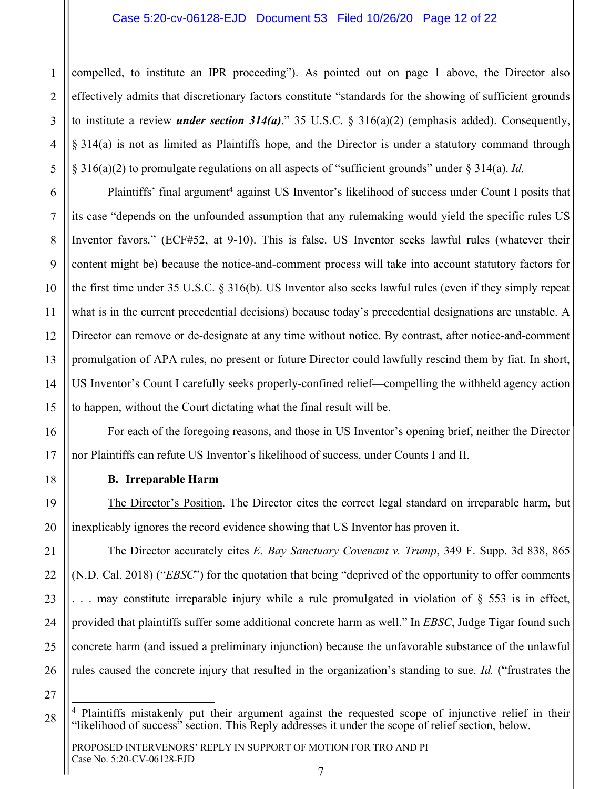#### Case 5:20-cv-06128-EJD Document 53 Filed 10/26/20 Page 12 of 22

compelled, to institute an IPR proceeding"). As pointed out on page 1 above, the Director also effectively admits that discretionary factors constitute "standards for the showing of sufficient grounds to institute a review *under section 314(a)*." 35 U.S.C. § 316(a)(2) (emphasis added). Consequently, § 314(a) is not as limited as Plaintiffs hope, and the Director is under a statutory command through § 316(a)(2) to promulgate regulations on all aspects of "sufficient grounds" under § 314(a). *Id.*

Plaintiffs' final argument<sup>4</sup> against US Inventor's likelihood of success under Count I posits that its case "depends on the unfounded assumption that any rulemaking would yield the specific rules US Inventor favors." (ECF#52, at 9-10). This is false. US Inventor seeks lawful rules (whatever their content might be) because the notice-and-comment process will take into account statutory factors for the first time under 35 U.S.C. § 316(b). US Inventor also seeks lawful rules (even if they simply repeat what is in the current precedential decisions) because today's precedential designations are unstable. A Director can remove or de-designate at any time without notice. By contrast, after notice-and-comment promulgation of APA rules, no present or future Director could lawfully rescind them by fiat. In short, US Inventor's Count I carefully seeks properly-confined relief—compelling the withheld agency action to happen, without the Court dictating what the final result will be.

For each of the foregoing reasons, and those in US Inventor's opening brief, neither the Director nor Plaintiffs can refute US Inventor's likelihood of success, under Counts I and II.

#### **B. Irreparable Harm**

1

2

3

4

5

6

7

8

9

10

11

12

13

14

15

16

17

18

19

20

21

22

23

24

25

26

27

28

The Director's Position. The Director cites the correct legal standard on irreparable harm, but inexplicably ignores the record evidence showing that US Inventor has proven it.

The Director accurately cites *E. Bay Sanctuary Covenant v. Trump*, 349 F. Supp. 3d 838, 865 (N.D. Cal. 2018) ("*EBSC*") for the quotation that being "deprived of the opportunity to offer comments  $\ldots$  may constitute irreparable injury while a rule promulgated in violation of  $\S$  553 is in effect, provided that plaintiffs suffer some additional concrete harm as well." In *EBSC*, Judge Tigar found such concrete harm (and issued a preliminary injunction) because the unfavorable substance of the unlawful rules caused the concrete injury that resulted in the organization's standing to sue. *Id.* ("frustrates the

<sup>&</sup>lt;sup>4</sup> Plaintiffs mistakenly put their argument against the requested scope of injunctive relief in their "likelihood of success" section. This Reply addresses it under the scope of relief section, below.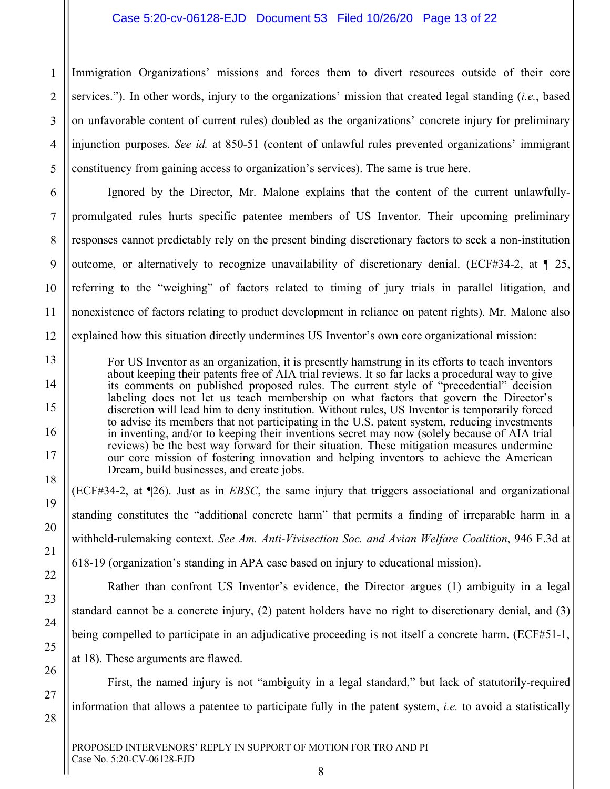#### Case 5:20-cv-06128-EJD Document 53 Filed 10/26/20 Page 13 of 22

1 Immigration Organizations' missions and forces them to divert resources outside of their core services."). In other words, injury to the organizations' mission that created legal standing (*i.e.*, based on unfavorable content of current rules) doubled as the organizations' concrete injury for preliminary injunction purposes. *See id.* at 850-51 (content of unlawful rules prevented organizations' immigrant constituency from gaining access to organization's services). The same is true here.

Ignored by the Director, Mr. Malone explains that the content of the current unlawfullypromulgated rules hurts specific patentee members of US Inventor. Their upcoming preliminary responses cannot predictably rely on the present binding discretionary factors to seek a non-institution outcome, or alternatively to recognize unavailability of discretionary denial. (ECF#34-2, at  $\P$  25, referring to the "weighing" of factors related to timing of jury trials in parallel litigation, and nonexistence of factors relating to product development in reliance on patent rights). Mr. Malone also explained how this situation directly undermines US Inventor's own core organizational mission:

For US Inventor as an organization, it is presently hamstrung in its efforts to teach inventors about keeping their patents free of AIA trial reviews. It so far lacks a procedural way to give its comments on published proposed rules. The current style of "precedential" decision labeling does not let us teach membership on what factors that govern the Director's discretion will lead him to deny institution. Without rules, US Inventor is temporarily forced to advise its members that not participating in the U.S. patent system, reducing investments in inventing, and/or to keeping their inventions secret may now (solely because of AIA trial reviews) be the best way forward for their situation. These mitigation measures undermine our core mission of fostering innovation and helping inventors to achieve the American Dream, build businesses, and create jobs.

(ECF#34-2, at ¶26). Just as in *EBSC*, the same injury that triggers associational and organizational standing constitutes the "additional concrete harm" that permits a finding of irreparable harm in a withheld-rulemaking context. *See Am. Anti-Vivisection Soc. and Avian Welfare Coalition*, 946 F.3d at 618-19 (organization's standing in APA case based on injury to educational mission).

Rather than confront US Inventor's evidence, the Director argues (1) ambiguity in a legal standard cannot be a concrete injury, (2) patent holders have no right to discretionary denial, and (3) being compelled to participate in an adjudicative proceeding is not itself a concrete harm. (ECF#51-1, at 18). These arguments are flawed.

First, the named injury is not "ambiguity in a legal standard," but lack of statutorily-required information that allows a patentee to participate fully in the patent system, *i.e.* to avoid a statistically

PROPOSED INTERVENORS' REPLY IN SUPPORT OF MOTION FOR TRO AND PI Case No. 5:20-CV-06128-EJD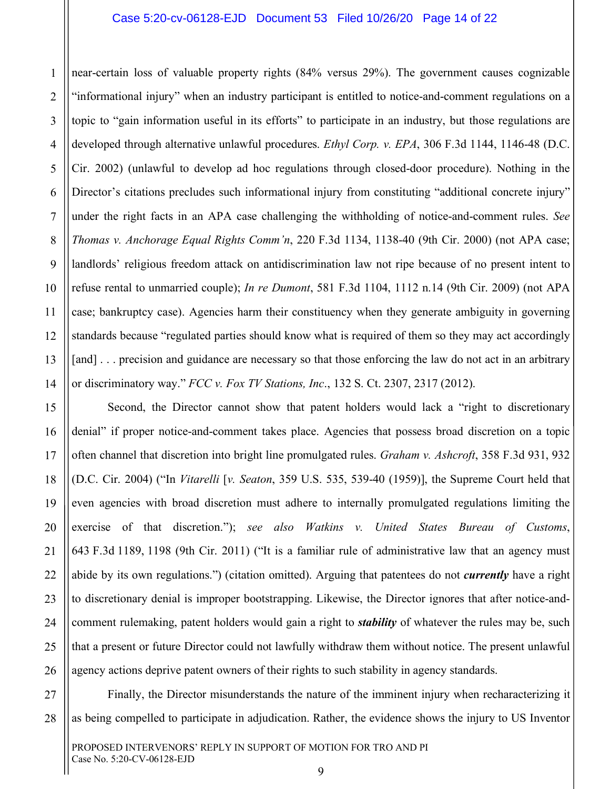#### Case 5:20-cv-06128-EJD Document 53 Filed 10/26/20 Page 14 of 22

near-certain loss of valuable property rights (84% versus 29%). The government causes cognizable "informational injury" when an industry participant is entitled to notice-and-comment regulations on a topic to "gain information useful in its efforts" to participate in an industry, but those regulations are developed through alternative unlawful procedures. *Ethyl Corp. v. EPA*, 306 F.3d 1144, 1146-48 (D.C. Cir. 2002) (unlawful to develop ad hoc regulations through closed-door procedure). Nothing in the Director's citations precludes such informational injury from constituting "additional concrete injury" under the right facts in an APA case challenging the withholding of notice-and-comment rules. *See Thomas v. Anchorage Equal Rights Comm'n*, 220 F.3d 1134, 1138-40 (9th Cir. 2000) (not APA case; landlords' religious freedom attack on antidiscrimination law not ripe because of no present intent to refuse rental to unmarried couple); *In re Dumont*, 581 F.3d 1104, 1112 n.14 (9th Cir. 2009) (not APA case; bankruptcy case). Agencies harm their constituency when they generate ambiguity in governing standards because "regulated parties should know what is required of them so they may act accordingly [and] . . . precision and guidance are necessary so that those enforcing the law do not act in an arbitrary or discriminatory way." *FCC v. Fox TV Stations, Inc*., 132 S. Ct. 2307, 2317 (2012).

Second, the Director cannot show that patent holders would lack a "right to discretionary denial" if proper notice-and-comment takes place. Agencies that possess broad discretion on a topic often channel that discretion into bright line promulgated rules. *Graham v. Ashcroft*, 358 F.3d 931, 932 (D.C. Cir. 2004) ("In *Vitarelli* [*v. Seaton*, 359 U.S. 535, 539-40 (1959)], the Supreme Court held that even agencies with broad discretion must adhere to internally promulgated regulations limiting the exercise of that discretion."); *see also Watkins v. United States Bureau of Customs*, 643 F.3d 1189, 1198 (9th Cir. 2011) ("It is a familiar rule of administrative law that an agency must abide by its own regulations.") (citation omitted). Arguing that patentees do not *currently* have a right to discretionary denial is improper bootstrapping. Likewise, the Director ignores that after notice-andcomment rulemaking, patent holders would gain a right to *stability* of whatever the rules may be, such that a present or future Director could not lawfully withdraw them without notice. The present unlawful agency actions deprive patent owners of their rights to such stability in agency standards.

Finally, the Director misunderstands the nature of the imminent injury when recharacterizing it as being compelled to participate in adjudication. Rather, the evidence shows the injury to US Inventor

21

27

1

2

3

4

5

7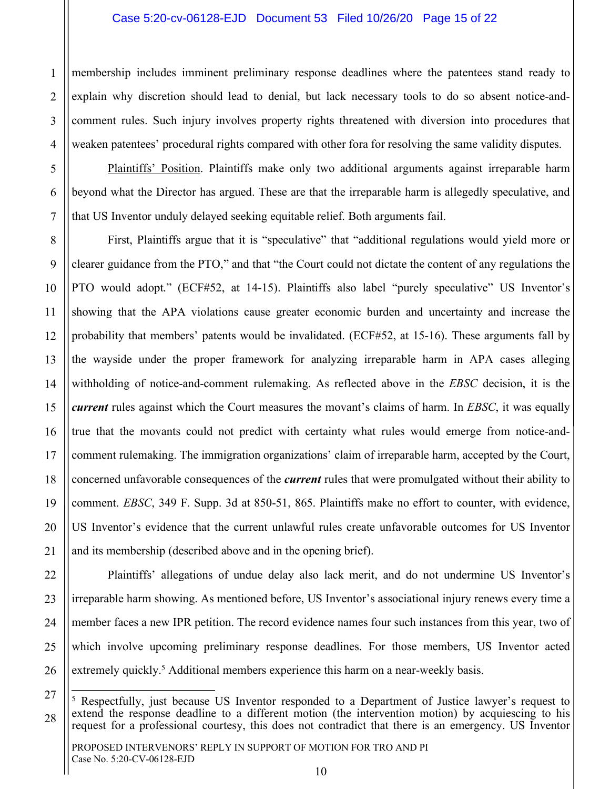#### Case 5:20-cv-06128-EJD Document 53 Filed 10/26/20 Page 15 of 22

membership includes imminent preliminary response deadlines where the patentees stand ready to explain why discretion should lead to denial, but lack necessary tools to do so absent notice-andcomment rules. Such injury involves property rights threatened with diversion into procedures that weaken patentees' procedural rights compared with other fora for resolving the same validity disputes.

Plaintiffs' Position. Plaintiffs make only two additional arguments against irreparable harm beyond what the Director has argued. These are that the irreparable harm is allegedly speculative, and that US Inventor unduly delayed seeking equitable relief. Both arguments fail.

First, Plaintiffs argue that it is "speculative" that "additional regulations would yield more or clearer guidance from the PTO," and that "the Court could not dictate the content of any regulations the PTO would adopt." (ECF#52, at 14-15). Plaintiffs also label "purely speculative" US Inventor's showing that the APA violations cause greater economic burden and uncertainty and increase the probability that members' patents would be invalidated. (ECF#52, at 15-16). These arguments fall by the wayside under the proper framework for analyzing irreparable harm in APA cases alleging withholding of notice-and-comment rulemaking. As reflected above in the *EBSC* decision, it is the *current* rules against which the Court measures the movant's claims of harm. In *EBSC*, it was equally true that the movants could not predict with certainty what rules would emerge from notice-andcomment rulemaking. The immigration organizations' claim of irreparable harm, accepted by the Court, concerned unfavorable consequences of the *current* rules that were promulgated without their ability to comment. *EBSC*, 349 F. Supp. 3d at 850-51, 865. Plaintiffs make no effort to counter, with evidence, US Inventor's evidence that the current unlawful rules create unfavorable outcomes for US Inventor and its membership (described above and in the opening brief).

Plaintiffs' allegations of undue delay also lack merit, and do not undermine US Inventor's irreparable harm showing. As mentioned before, US Inventor's associational injury renews every time a member faces a new IPR petition. The record evidence names four such instances from this year, two of which involve upcoming preliminary response deadlines. For those members, US Inventor acted extremely quickly.<sup>5</sup> Additional members experience this harm on a near-weekly basis.

1

<sup>&</sup>lt;sup>5</sup> Respectfully, just because US Inventor responded to a Department of Justice lawyer's request to extend the response deadline to a different motion (the intervention motion) by acquiescing to his request for a professional courtesy, this does not contradict that there is an emergency. US Inventor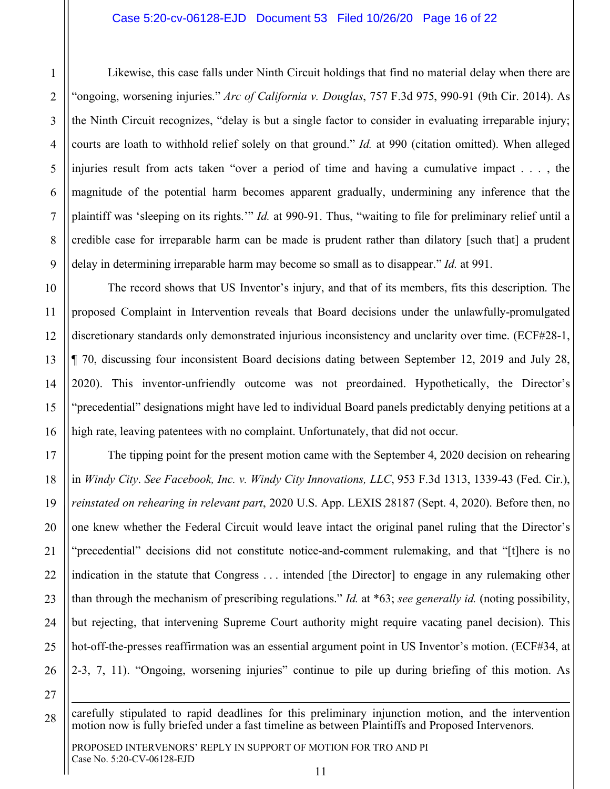#### Case 5:20-cv-06128-EJD Document 53 Filed 10/26/20 Page 16 of 22

Likewise, this case falls under Ninth Circuit holdings that find no material delay when there are "ongoing, worsening injuries." *Arc of California v. Douglas*, 757 F.3d 975, 990-91 (9th Cir. 2014). As the Ninth Circuit recognizes, "delay is but a single factor to consider in evaluating irreparable injury; courts are loath to withhold relief solely on that ground." *Id.* at 990 (citation omitted). When alleged injuries result from acts taken "over a period of time and having a cumulative impact . . . , the magnitude of the potential harm becomes apparent gradually, undermining any inference that the plaintiff was 'sleeping on its rights.'" *Id.* at 990-91. Thus, "waiting to file for preliminary relief until a credible case for irreparable harm can be made is prudent rather than dilatory [such that] a prudent delay in determining irreparable harm may become so small as to disappear." *Id.* at 991.

The record shows that US Inventor's injury, and that of its members, fits this description. The proposed Complaint in Intervention reveals that Board decisions under the unlawfully-promulgated discretionary standards only demonstrated injurious inconsistency and unclarity over time. (ECF#28-1, ¶ 70, discussing four inconsistent Board decisions dating between September 12, 2019 and July 28, 2020). This inventor-unfriendly outcome was not preordained. Hypothetically, the Director's "precedential" designations might have led to individual Board panels predictably denying petitions at a high rate, leaving patentees with no complaint. Unfortunately, that did not occur.

The tipping point for the present motion came with the September 4, 2020 decision on rehearing in *Windy City*. *See Facebook, Inc. v. Windy City Innovations, LLC*, 953 F.3d 1313, 1339-43 (Fed. Cir.), *reinstated on rehearing in relevant part*, 2020 U.S. App. LEXIS 28187 (Sept. 4, 2020). Before then, no one knew whether the Federal Circuit would leave intact the original panel ruling that the Director's "precedential" decisions did not constitute notice-and-comment rulemaking, and that "[t]here is no indication in the statute that Congress . . . intended [the Director] to engage in any rulemaking other than through the mechanism of prescribing regulations." *Id.* at \*63; *see generally id.* (noting possibility, but rejecting, that intervening Supreme Court authority might require vacating panel decision). This hot-off-the-presses reaffirmation was an essential argument point in US Inventor's motion. (ECF#34, at 2-3, 7, 11). "Ongoing, worsening injuries" continue to pile up during briefing of this motion. As

27

 $\overline{a}$ 

1

2

3

4

5

6

7

8

9

10

11

12

13

14

15

16

17

18

19

20

21

22

23

24

25

26

28 carefully stipulated to rapid deadlines for this preliminary injunction motion, and the intervention motion now is fully briefed under a fast timeline as between Plaintiffs and Proposed Intervenors.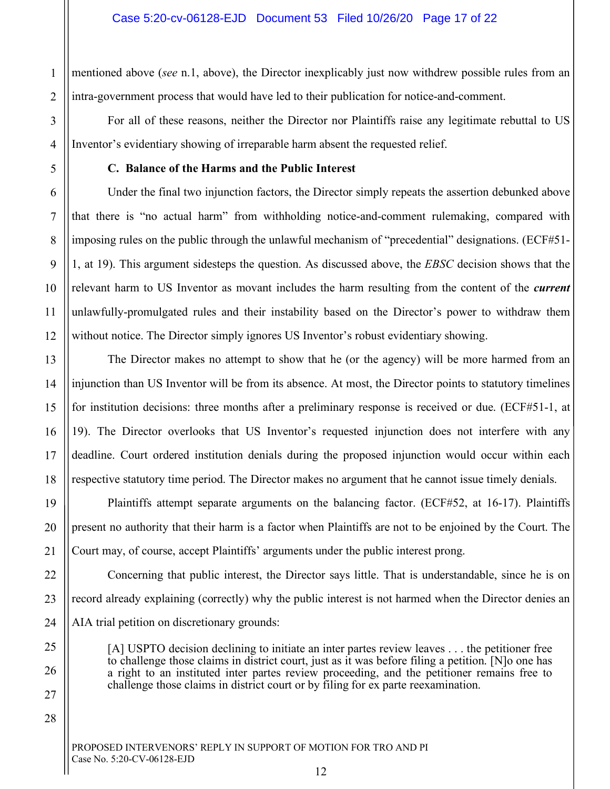1 2 mentioned above (*see* n.1, above), the Director inexplicably just now withdrew possible rules from an intra-government process that would have led to their publication for notice-and-comment.

For all of these reasons, neither the Director nor Plaintiffs raise any legitimate rebuttal to US Inventor's evidentiary showing of irreparable harm absent the requested relief.

#### **C. Balance of the Harms and the Public Interest**

3

4

5

6

7

8

9

10

11

12

13

14

15

16

17

18

19

20

21

22

23

24

25

26

27

28

Under the final two injunction factors, the Director simply repeats the assertion debunked above that there is "no actual harm" from withholding notice-and-comment rulemaking, compared with imposing rules on the public through the unlawful mechanism of "precedential" designations. (ECF#51- 1, at 19). This argument sidesteps the question. As discussed above, the *EBSC* decision shows that the relevant harm to US Inventor as movant includes the harm resulting from the content of the *current* unlawfully-promulgated rules and their instability based on the Director's power to withdraw them without notice. The Director simply ignores US Inventor's robust evidentiary showing.

The Director makes no attempt to show that he (or the agency) will be more harmed from an injunction than US Inventor will be from its absence. At most, the Director points to statutory timelines for institution decisions: three months after a preliminary response is received or due. (ECF#51-1, at 19). The Director overlooks that US Inventor's requested injunction does not interfere with any deadline. Court ordered institution denials during the proposed injunction would occur within each respective statutory time period. The Director makes no argument that he cannot issue timely denials.

Plaintiffs attempt separate arguments on the balancing factor. (ECF#52, at 16-17). Plaintiffs present no authority that their harm is a factor when Plaintiffs are not to be enjoined by the Court. The Court may, of course, accept Plaintiffs' arguments under the public interest prong.

Concerning that public interest, the Director says little. That is understandable, since he is on record already explaining (correctly) why the public interest is not harmed when the Director denies an AIA trial petition on discretionary grounds:

[A] USPTO decision declining to initiate an inter partes review leaves . . . the petitioner free to challenge those claims in district court, just as it was before filing a petition. [N]o one has a right to an instituted inter partes review proceeding, and the petitioner remains free to challenge those claims in district court or by filing for ex parte reexamination.

PROPOSED INTERVENORS' REPLY IN SUPPORT OF MOTION FOR TRO AND PI Case No. 5:20-CV-06128-EJD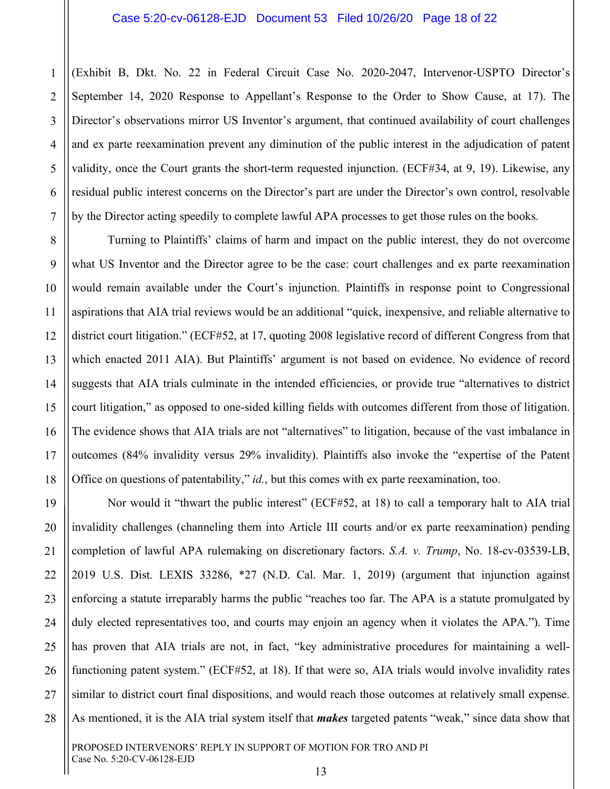2 (Exhibit B, Dkt. No. 22 in Federal Circuit Case No. 2020-2047, Intervenor-USPTO Director's September 14, 2020 Response to Appellant's Response to the Order to Show Cause, at 17). The Director's observations mirror US Inventor's argument, that continued availability of court challenges and ex parte reexamination prevent any diminution of the public interest in the adjudication of patent validity, once the Court grants the short-term requested injunction. (ECF#34, at 9, 19). Likewise, any residual public interest concerns on the Director's part are under the Director's own control, resolvable by the Director acting speedily to complete lawful APA processes to get those rules on the books.

Turning to Plaintiffs' claims of harm and impact on the public interest, they do not overcome what US Inventor and the Director agree to be the case: court challenges and ex parte reexamination would remain available under the Court's injunction. Plaintiffs in response point to Congressional aspirations that AIA trial reviews would be an additional "quick, inexpensive, and reliable alternative to district court litigation." (ECF#52, at 17, quoting 2008 legislative record of different Congress from that which enacted 2011 AIA). But Plaintiffs' argument is not based on evidence. No evidence of record suggests that AIA trials culminate in the intended efficiencies, or provide true "alternatives to district court litigation," as opposed to one-sided killing fields with outcomes different from those of litigation. The evidence shows that AIA trials are not "alternatives" to litigation, because of the vast imbalance in outcomes (84% invalidity versus 29% invalidity). Plaintiffs also invoke the "expertise of the Patent Office on questions of patentability," *id.*, but this comes with ex parte reexamination, too.

Nor would it "thwart the public interest" (ECF#52, at 18) to call a temporary halt to AIA trial invalidity challenges (channeling them into Article III courts and/or ex parte reexamination) pending completion of lawful APA rulemaking on discretionary factors. *S.A. v. Trump*, No. 18-cv-03539-LB, 2019 U.S. Dist. LEXIS 33286, \*27 (N.D. Cal. Mar. 1, 2019) (argument that injunction against enforcing a statute irreparably harms the public "reaches too far. The APA is a statute promulgated by duly elected representatives too, and courts may enjoin an agency when it violates the APA."). Time has proven that AIA trials are not, in fact, "key administrative procedures for maintaining a wellfunctioning patent system." (ECF#52, at 18). If that were so, AIA trials would involve invalidity rates similar to district court final dispositions, and would reach those outcomes at relatively small expense. As mentioned, it is the AIA trial system itself that *makes* targeted patents "weak," since data show that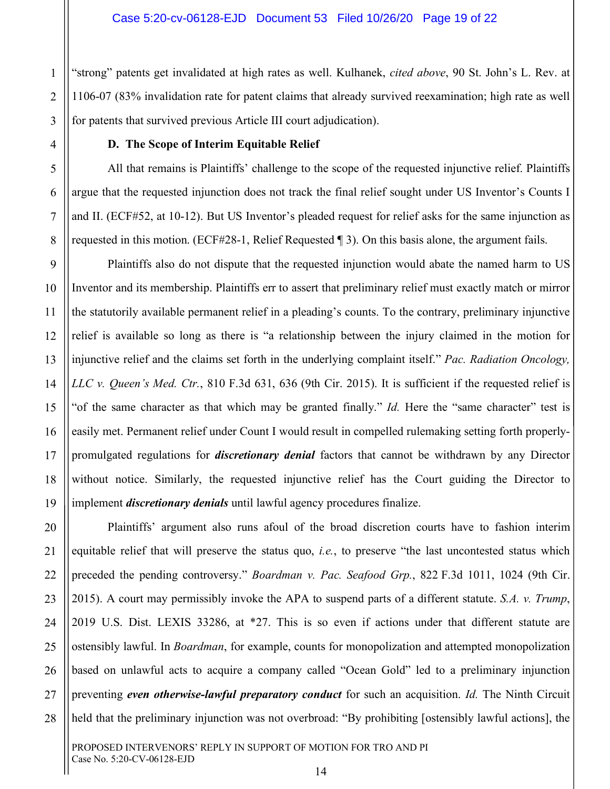"strong" patents get invalidated at high rates as well. Kulhanek, *cited above*, 90 St. John's L. Rev. at 1106-07 (83% invalidation rate for patent claims that already survived reexamination; high rate as well for patents that survived previous Article III court adjudication).

#### **D. The Scope of Interim Equitable Relief**

1

2

3

4

5

6

7

8

9

10

11

12

13

14

15

16

17

18

19

20

21

22

23

24

25

26

27

28

All that remains is Plaintiffs' challenge to the scope of the requested injunctive relief. Plaintiffs argue that the requested injunction does not track the final relief sought under US Inventor's Counts I and II. (ECF#52, at 10-12). But US Inventor's pleaded request for relief asks for the same injunction as requested in this motion. (ECF#28-1, Relief Requested ¶ 3). On this basis alone, the argument fails.

Plaintiffs also do not dispute that the requested injunction would abate the named harm to US Inventor and its membership. Plaintiffs err to assert that preliminary relief must exactly match or mirror the statutorily available permanent relief in a pleading's counts. To the contrary, preliminary injunctive relief is available so long as there is "a relationship between the injury claimed in the motion for injunctive relief and the claims set forth in the underlying complaint itself." *Pac. Radiation Oncology, LLC v. Queen's Med. Ctr.*, 810 F.3d 631, 636 (9th Cir. 2015). It is sufficient if the requested relief is "of the same character as that which may be granted finally." *Id.* Here the "same character" test is easily met. Permanent relief under Count I would result in compelled rulemaking setting forth properlypromulgated regulations for *discretionary denial* factors that cannot be withdrawn by any Director without notice. Similarly, the requested injunctive relief has the Court guiding the Director to implement *discretionary denials* until lawful agency procedures finalize.

Plaintiffs' argument also runs afoul of the broad discretion courts have to fashion interim equitable relief that will preserve the status quo, *i.e.*, to preserve "the last uncontested status which preceded the pending controversy." *Boardman v. Pac. Seafood Grp.*, 822 F.3d 1011, 1024 (9th Cir. 2015). A court may permissibly invoke the APA to suspend parts of a different statute. *S.A. v. Trump*, 2019 U.S. Dist. LEXIS 33286, at \*27. This is so even if actions under that different statute are ostensibly lawful. In *Boardman*, for example, counts for monopolization and attempted monopolization based on unlawful acts to acquire a company called "Ocean Gold" led to a preliminary injunction preventing *even otherwise-lawful preparatory conduct* for such an acquisition. *Id.* The Ninth Circuit held that the preliminary injunction was not overbroad: "By prohibiting [ostensibly lawful actions], the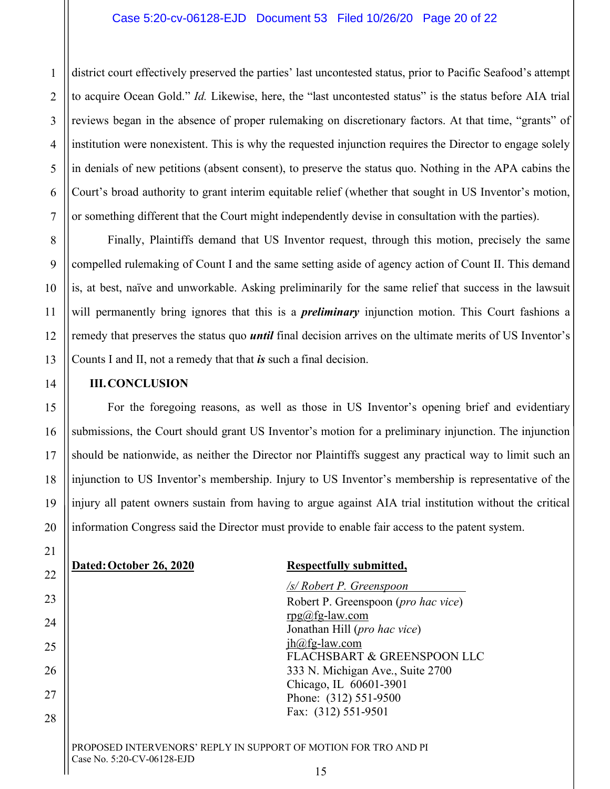#### Case 5:20-cv-06128-EJD Document 53 Filed 10/26/20 Page 20 of 22

district court effectively preserved the parties' last uncontested status, prior to Pacific Seafood's attempt to acquire Ocean Gold." *Id.* Likewise, here, the "last uncontested status" is the status before AIA trial reviews began in the absence of proper rulemaking on discretionary factors. At that time, "grants" of institution were nonexistent. This is why the requested injunction requires the Director to engage solely in denials of new petitions (absent consent), to preserve the status quo. Nothing in the APA cabins the Court's broad authority to grant interim equitable relief (whether that sought in US Inventor's motion, or something different that the Court might independently devise in consultation with the parties).

Finally, Plaintiffs demand that US Inventor request, through this motion, precisely the same compelled rulemaking of Count I and the same setting aside of agency action of Count II. This demand is, at best, naïve and unworkable. Asking preliminarily for the same relief that success in the lawsuit will permanently bring ignores that this is a *preliminary* injunction motion. This Court fashions a remedy that preserves the status quo *until* final decision arrives on the ultimate merits of US Inventor's Counts I and II, not a remedy that that *is* such a final decision.

#### **III.CONCLUSION**

For the foregoing reasons, as well as those in US Inventor's opening brief and evidentiary submissions, the Court should grant US Inventor's motion for a preliminary injunction. The injunction should be nationwide, as neither the Director nor Plaintiffs suggest any practical way to limit such an injunction to US Inventor's membership. Injury to US Inventor's membership is representative of the injury all patent owners sustain from having to argue against AIA trial institution without the critical information Congress said the Director must provide to enable fair access to the patent system.

#### **Dated:October 26, 2020 Respectfully submitted,**

*/s/ Robert P. Greenspoon* Robert P. Greenspoon (*pro hac vice*)  $rpg(a)fg-law.com$ Jonathan Hill (*pro hac vice*) jh@fg-law.com FLACHSBART & GREENSPOON LLC 333 N. Michigan Ave., Suite 2700 Chicago, IL 60601-3901 Phone: (312) 551-9500 Fax: (312) 551-9501

#### PROPOSED INTERVENORS' REPLY IN SUPPORT OF MOTION FOR TRO AND PI Case No. 5:20-CV-06128-EJD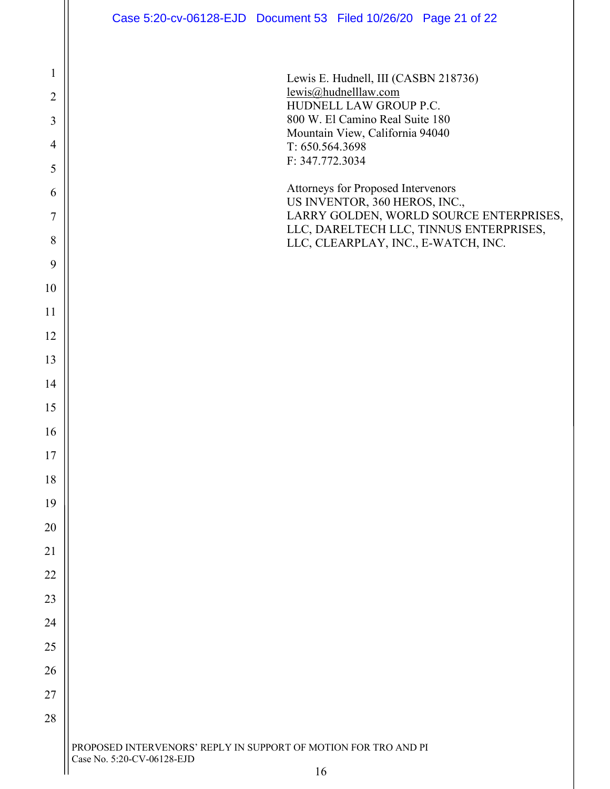|                | Case 5:20-cv-06128-EJD Document 53 Filed 10/26/20 Page 21 of 22                    |
|----------------|------------------------------------------------------------------------------------|
|                |                                                                                    |
| $\mathbf{1}$   | Lewis E. Hudnell, III (CASBN 218736)                                               |
| $\overline{2}$ | lewis@hudnelllaw.com<br>HUDNELL LAW GROUP P.C.                                     |
| 3              | 800 W. El Camino Real Suite 180<br>Mountain View, California 94040                 |
| $\overline{4}$ | T: 650.564.3698                                                                    |
| 5              | F: 347.772.3034                                                                    |
| 6              | Attorneys for Proposed Intervenors<br>US INVENTOR, 360 HEROS, INC.,                |
| $\tau$         | LARRY GOLDEN, WORLD SOURCE ENTERPRISES,<br>LLC, DARELTECH LLC, TINNUS ENTERPRISES, |
| 8              | LLC, CLEARPLAY, INC., E-WATCH, INC.                                                |
| 9              |                                                                                    |
| 10             |                                                                                    |
| 11             |                                                                                    |
| 12             |                                                                                    |
| 13             |                                                                                    |
| 14             |                                                                                    |
| 15             |                                                                                    |
| 16             |                                                                                    |
| $17$           |                                                                                    |
| 18             |                                                                                    |
| 19             |                                                                                    |
| 20             |                                                                                    |
| 21             |                                                                                    |
| $22\,$         |                                                                                    |
| $23\,$         |                                                                                    |
| 24             |                                                                                    |
| 25             |                                                                                    |
| 26             |                                                                                    |
| 27             |                                                                                    |
| 28             |                                                                                    |

PROPOSED INTERVENORS' REPLY IN SUPPORT OF MOTION FOR TRO AND PI Case No. 5:20-CV-06128-EJD